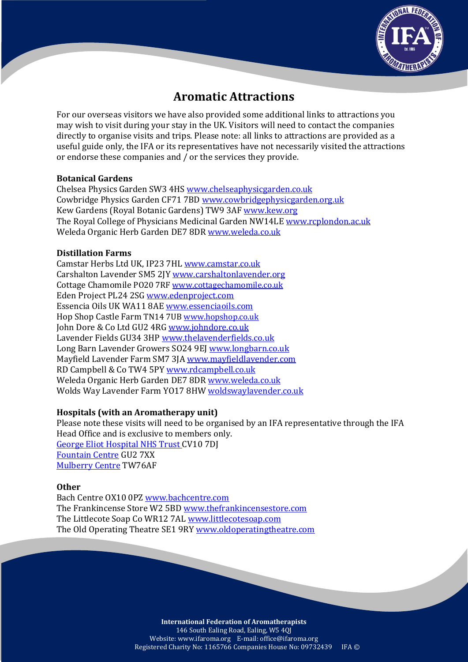

# **Aromatic Attractions**

For our overseas visitors we have also provided some additional links to attractions you may wish to visit during your stay in the UK. Visitors will need to contact the companies directly to organise visits and trips. Please note: all links to attractions are provided as a useful guide only, the IFA or its representatives have not necessarily visited the attractions or endorse these companies and / or the services they provide.

#### **Botanical Gardens**

[Chelsea Physics Garden](https://www.chelseaphysicgarden.co.uk/) SW3 4H[S www.chelseaphysicgarden.co.uk](file:///F:/www.chelseaphysicgarden.co.uk) Cowbridge Physics Garden CF71 7BD [www.cowbridgephysicgarden.org.uk](http://www.cowbridgephysicgarden.org.uk/) Kew Gardens (Royal Botanic Gardens) TW9 3AF [www.kew.org](http://www.kew.org/) The Royal College of Physicians Medicinal Garden NW14LE [www.rcplondon.ac.uk](http://www.rcplondon.ac.uk/) Weleda Organic Herb Garden DE7 8D[R www.weleda.co.uk](file:///F:/www.weleda.co.uk)

### **Distillation Farms**

Camstar Herbs Ltd UK, IP23 7HL [www.camstar.co.uk](http://www.camstar.co.uk/en/home) Carshalton Lavender SM5 2JY [www.carshaltonlavender.org](file:///F:/www.carshaltonlavender.org) Cottage Chamomile PO20 7RF [www.cottagechamomile.co.uk](https://www.cottagechamomile.co.uk/) Eden Project PL24 2SG [www.edenproject.com](file:///F:/www.edenproject.com) Essencia Oils UK WA11 8AE [www.essenciaoils.com](http://www.essenciaoils.com/index.html) Hop Shop Castle Farm TN14 7UB [www.hopshop.co.uk](https://hopshop.co.uk/) John Dore & Co Ltd GU2 4RG [www.johndore.co.uk](http://www.johndore.co.uk/) Lavender Fields GU34 3HP [www.thelavenderfields.co.uk](http://www.thelavenderfields.co.uk/) Long Barn Lavender Growers SO24 9EJ [www.longbarn.co.uk](file:///F:/www.longbarn.co.uk) Mayfield Lavender Farm SM7 3JA [www.mayfieldlavender.com](http://www.mayfieldlavender.com/) RD Campbell & Co TW4 5PY [www.rdcampbell.co.uk](http://www.rdcampbell.co.uk/) Weleda Organic Herb Garden DE7 8DR [www.weleda.co.uk](file:///F:/www.weleda.co.uk) Wolds Way Lavender Farm YO17 8HW [woldswaylavender.co.uk](http://woldswaylavender.co.uk/)

## **Hospitals (with an Aromatherapy unit)**

Please note these visits will need to be organised by an IFA representative through the IFA Head Office and is exclusive to members only. [George Eliot Hospital NHS Trust C](http://www.geh.nhs.uk/)V10 7DJ [Fountain Centre](http://www.fountaincentre.org/) GU2 7XX [Mulberry Centre](https://www.themulberrycentre.co.uk/) TW76AF

#### **Other**

Bach Centre OX10 0PZ [www.bachcentre.com](http://www.bachcentre.com/) The Frankincense Store W2 5B[D www.thefrankincensestore.com](file:///F:/www.thefrankincensestore.com) The Littlecote Soap Co WR12 7AL [www.littlecotesoap.com](file:///F:/www.littlecotesoap.com) The Old Operating Theatre SE1 9R[Y www.oldoperatingtheatre.com](http://oldoperatingtheatre.com/)

> **International Federation of Aromatherapists** 146 South Ealing Road, Ealing, W5 4QJ Website: www.ifaroma.org E-mail: office@ifaroma.org Registered Charity No: 1165766 Companies House No: 09732439 IFA ©